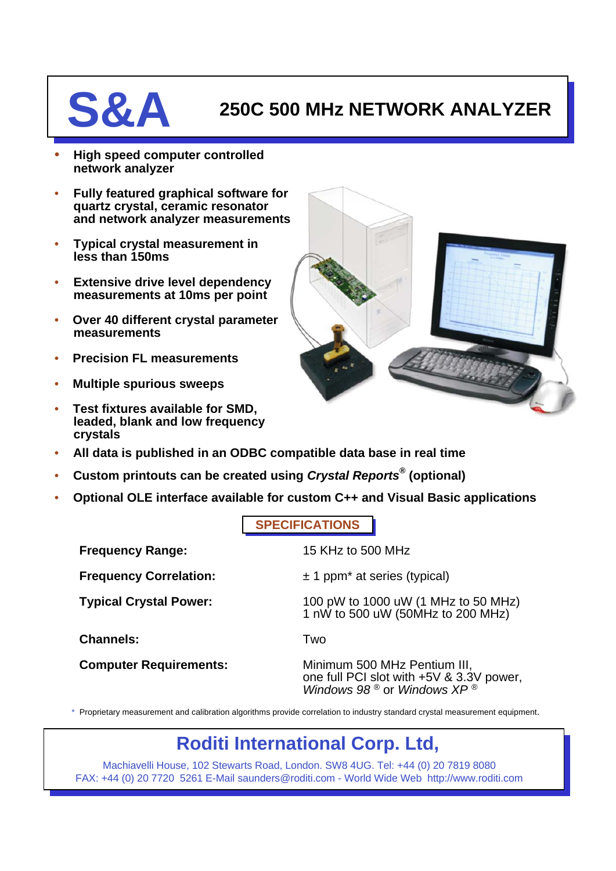## **S&A** 250C 500 MHz NETWORK ANALYZER

- **High speed computer controlled network analyzer**
- **Fully featured graphical software for quartz crystal, ceramic resonator and network analyzer measurements**
- **Typical crystal measurement in less than 150ms**
- **Extensive drive level dependency measurements at 10ms per point**
- **Over 40 different crystal parameter measurements**
- **Precision FL measurements**
- **Multiple spurious sweeps**
- **Test fixtures available for SMD, leaded, blank and low frequency crystals**



- **All data is published in an ODBC compatible data base in real time**
- **Custom printouts can be created using** *Crystal Reports®* **(optional)**
- **Optional OLE interface available for custom C++ and Visual Basic applications**

**SPECIFICATIONS**

| <b>Frequency Range:</b>                                                                                                      | 15 KHz to 500 MHz                                                                                        |
|------------------------------------------------------------------------------------------------------------------------------|----------------------------------------------------------------------------------------------------------|
| <b>Frequency Correlation:</b>                                                                                                | $± 1$ ppm <sup>*</sup> at series (typical)                                                               |
| <b>Typical Crystal Power:</b>                                                                                                | 100 pW to 1000 uW (1 MHz to 50 MHz)<br>1 nW to 500 uW (50MHz to 200 MHz)                                 |
| <b>Channels:</b>                                                                                                             | Two                                                                                                      |
| <b>Computer Requirements:</b>                                                                                                | Minimum 500 MHz Pentium III,<br>one full PCI slot with +5V & 3.3V power,<br>Windows 98 ® or Windows XP ® |
| Das aberan ar senam sar sad selbartha elas dipaduar a an dels semelation te badnetan stendend santa la senam senam sentembra |                                                                                                          |

\* Proprietary measurement and calibration algorithms provide correlation to industry standard crystal measurement equipment.

## **Roditi International Corp. Ltd,**

Machiavelli House, 102 Stewarts Road, London. SW8 4UG. Tel: +44 (0) 20 7819 8080 FAX: +44 (0) 20 7720 5261 E-Mail saunders@roditi.com - World Wide Web http://www.roditi.com